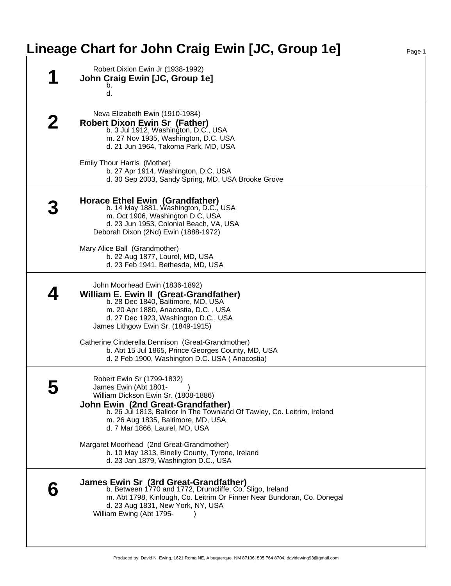## **Lineage Chart for John Craig Ewin [JC, Group 1e]**

| Robert Dixion Ewin Jr (1938-1992)<br>John Craig Ewin [JC, Group 1e]<br>b.<br>d.                                                                                                                                                                                                           |
|-------------------------------------------------------------------------------------------------------------------------------------------------------------------------------------------------------------------------------------------------------------------------------------------|
| Neva Elizabeth Ewin (1910-1984)<br><b>Robert Dixon Ewin Sr (Father)</b><br>b. 3 Jul 1912, Washington, D.C., USA<br>m. 27 Nov 1935, Washington, D.C. USA<br>d. 21 Jun 1964, Takoma Park, MD, USA                                                                                           |
| Emily Thour Harris (Mother)<br>b. 27 Apr 1914, Washington, D.C. USA<br>d. 30 Sep 2003, Sandy Spring, MD, USA Brooke Grove                                                                                                                                                                 |
| Horace Ethel Ewin (Grandfather)<br>b. 14 May 1881, Washington, D.C., USA<br>m. Oct 1906, Washington D.C, USA<br>d. 23 Jun 1953, Colonial Beach, VA, USA<br>Deborah Dixon (2Nd) Ewin (1888-1972)                                                                                           |
| Mary Alice Ball (Grandmother)<br>b. 22 Aug 1877, Laurel, MD, USA<br>d. 23 Feb 1941, Bethesda, MD, USA                                                                                                                                                                                     |
| John Moorhead Ewin (1836-1892)<br>William E. Ewin II (Great-Grandfather)<br>b. 28 Dec 1840, Baltimore, MD, USA<br>m. 20 Apr 1880, Anacostia, D.C., USA<br>d. 27 Dec 1923, Washington D.C., USA<br>James Lithgow Ewin Sr. (1849-1915)<br>Catherine Cinderella Dennison (Great-Grandmother) |
| b. Abt 15 Jul 1865, Prince Georges County, MD, USA<br>d. 2 Feb 1900, Washington D.C. USA (Anacostia)                                                                                                                                                                                      |
| Robert Ewin Sr (1799-1832)<br>James Ewin (Abt 1801-<br>William Dickson Ewin Sr. (1808-1886)<br>John Ewin (2nd Great-Grandfather)<br>b. 26 Jul 1813, Balloor In The Townland Of Tawley, Co. Leitrim, Ireland<br>m. 26 Aug 1835, Baltimore, MD, USA<br>d. 7 Mar 1866, Laurel, MD, USA       |
| Margaret Moorhead (2nd Great-Grandmother)<br>b. 10 May 1813, Binelly County, Tyrone, Ireland<br>d. 23 Jan 1879, Washington D.C., USA                                                                                                                                                      |
| James Ewin Sr (3rd Great-Grandfather)<br>b. Between 1770 and 1772, Drumcliffe, Co. Sligo, Ireland<br>m. Abt 1798, Kinlough, Co. Leitrim Or Finner Near Bundoran, Co. Donegal<br>d. 23 Aug 1831, New York, NY, USA<br>William Ewing (Abt 1795-                                             |